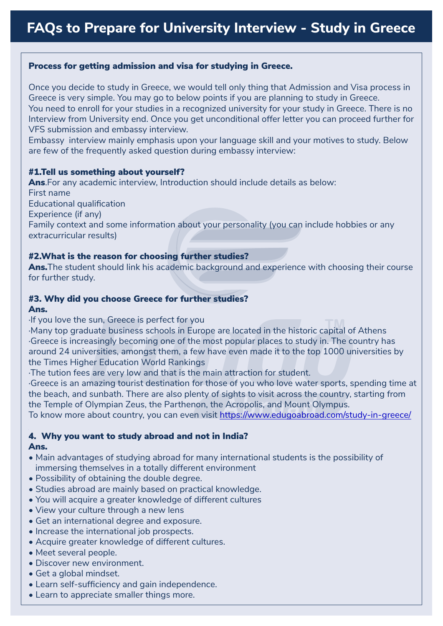## Process for getting admission and visa for studying in Greece.

Once you decide to study in Greece, we would tell only thing that Admission and Visa process in Greece is very simple. You may go to below points if you are planning to study in Greece. You need to enroll for your studies in a recognized university for your study in Greece. There is no Interview from University end. Once you get unconditional offer letter you can proceed further for VFS submission and embassy interview.

Embassy interview mainly emphasis upon your language skill and your motives to study. Below are few of the frequently asked question during embassy interview:

## #1.Tell us something about yourself?

Ans. For any academic interview, Introduction should include details as below: First name Educational qualification Experience (if any) Family context and some information about your personality (you can include hobbies or any extracurricular results)

## #2.What is the reason for choosing further studies?

Ans. The student should link his academic background and experience with choosing their course for further study.

# #3. Why did you choose Greece for further studies?

#### Ans.

· If you love the sun, Greece is perfect for you

·It you love the sun, Greece is perfect for you<br>·Many top graduate business schools in Europe are located in the historic capital of Athens · Greece is increasingly becoming one of the most popular places to study in. The country has around 24 universities, amongst them, a few have even made it to the top 1000 universities by the Times Higher Education World Rankings

· The tution fees are very low and that is the main attraction for student.

· Greece is an amazing tourist destination for those of you who love water sports, spending time at the beach, and sunbath. There are also plenty of sights to visit across the country, starting from the Temple of Olympian Zeus, the Parthenon, the Acropolis, and Mount Olympus.

To know more about country, you can even visit<https://www.edugoabroad.com/study-in-greece/>

# 4. Why you want to study abroad and not in India?

#### Ans.

- Main advantages of studying abroad for many international students is the possibility of immersing themselves in a totally different environment
- Possibility of obtaining the double degree.
- Studies abroad are mainly based on practical knowledge.
- You will acquire a greater knowledge of different cultures
- View your culture through a new lens
- Get an international degree and exposure.
- Increase the international job prospects.
- Acquire greater knowledge of different cultures.
- Meet several people.
- Discover new environment.
- Get a global mindset.
- Learn self-sufficiency and gain independence.
- Learn to appreciate smaller things more.